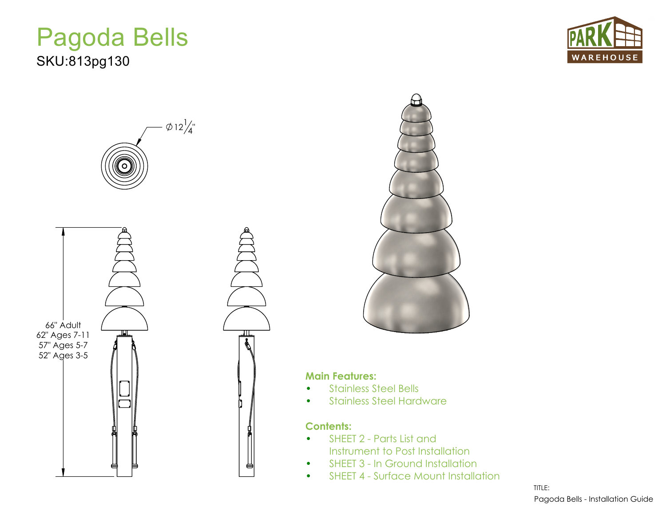## Pagoda Bells SKU:813pg130









## **Main Features:**

- Stainless Steel Bells
- Stainless Steel Hardware

## **Contents:**

- SHEET 2 Parts List and Instrument to Post Installation
- SHEET 3 In Ground Installation
- SHEET 4 Surface Mount Installation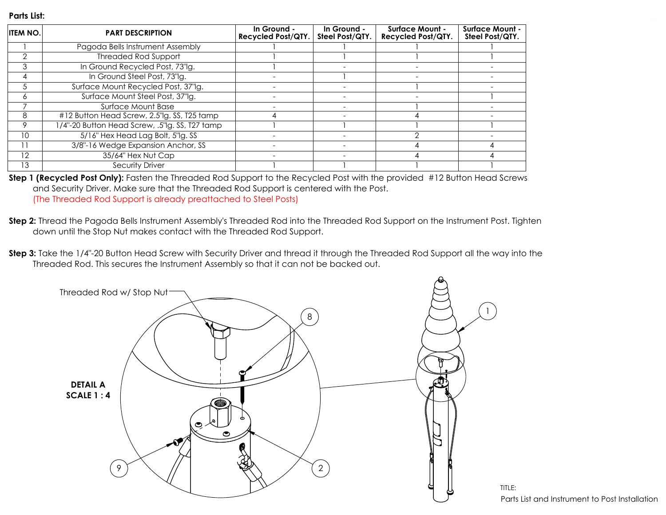## **Parts List:**

| <b>ITEM NO.</b> | <b>PART DESCRIPTION</b>                        | In Ground -<br><b>Recycled Post/QTY.</b> | In Ground -<br>Steel Post/QTY. | <b>Surface Mount -</b><br><b>Recycled Post/QTY.</b> | <b>Surface Mount -</b><br>Steel Post/QTY. |
|-----------------|------------------------------------------------|------------------------------------------|--------------------------------|-----------------------------------------------------|-------------------------------------------|
|                 | Pagoda Bells Instrument Assembly               |                                          |                                |                                                     |                                           |
| $\mathcal{P}$   | <b>Threaded Rod Support</b>                    |                                          |                                |                                                     |                                           |
| 3               | In Ground Recycled Post, 73"Ig.                |                                          |                                |                                                     |                                           |
| 4               | In Ground Steel Post, 73"lg.                   |                                          |                                |                                                     |                                           |
| 5               | Surface Mount Recycled Post, 37"lg.            |                                          |                                |                                                     |                                           |
| 6               | Surface Mount Steel Post, 37" g.               |                                          |                                |                                                     |                                           |
|                 | Surface Mount Base                             |                                          |                                |                                                     |                                           |
| 8               | #12 Button Head Screw, 2.5"lg. SS, T25 tamp    |                                          |                                |                                                     |                                           |
| 9               | 1/4"-20 Button Head Screw, .5"lg. SS, T27 tamp |                                          |                                |                                                     |                                           |
| 10              | 5/16" Hex Head Lag Bolt, 5"lg. SS              |                                          |                                |                                                     |                                           |
|                 | 3/8"-16 Wedge Expansion Anchor, SS             |                                          |                                |                                                     |                                           |
| 12              | 35/64" Hex Nut Cap                             |                                          |                                |                                                     |                                           |
| 13              | <b>Security Driver</b>                         |                                          |                                |                                                     |                                           |

**Step 1 (Recycled Post Only):** Fasten the Threaded Rod Support to the Recycled Post with the provided #12 Button Head Screws and Security Driver. Make sure that the Threaded Rod Support is centered with the Post. (The Threaded Rod Support is already preattached to Steel Posts)

- **Step 2:** Thread the Pagoda Bells Instrument Assembly's Threaded Rod into the Threaded Rod Support on the Instrument Post. Tighten down until the Stop Nut makes contact with the Threaded Rod Support.
- **Step 3:** Take the 1/4"-20 Button Head Screw with Security Driver and thread it through the Threaded Rod Support all the way into the Threaded Rod. This secures the Instrument Assembly so that it can not be backed out.

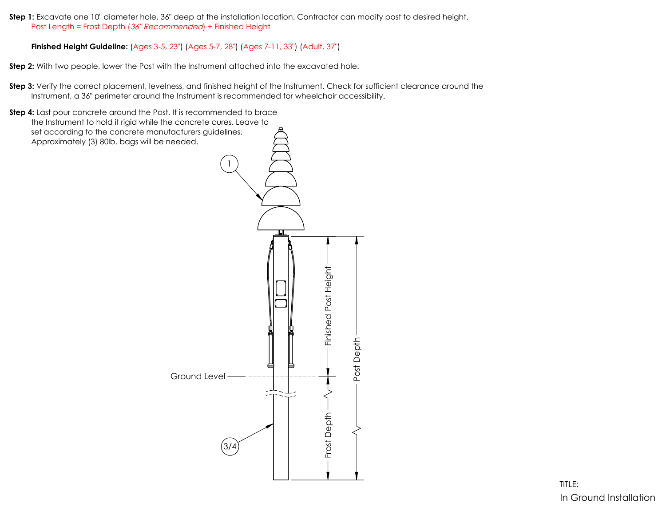**Step 1:** Excavate one 10" diameter hole, 36" deep at the installation location. Contractor can modify post to desired height. Post Length = Frost Depth (36" Recommended) + Finished Height

**Finished Height Guideline:** (Ages 3-5, 23") (Ages 5-7, 28") (Ages 7-11, 33") (Adult, 37")

**Step 2:** With two people, lower the Post with the Instrument attached into the excavated hole.

**Step 3:** Verify the correct placement, levelness, and finished height of the Instrument. Check for sufficient clearance around the Instrument, a 36" perimeter around the Instrument is recommended for wheelchair accessibility.

**Step 4:** Last pour concrete around the Post. It is recommended to brace the Instrument to hold it rigid while the concrete cures. Leave to set according to the concrete manufacturers guidelines. Approximately (3) 80lb. bags will be needed.